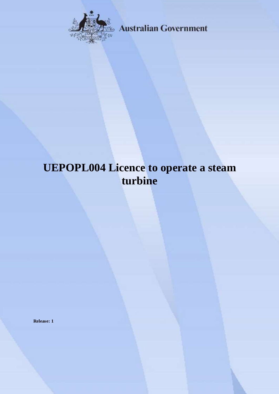

**Australian Government** 

# **UEPOPL004 Licence to operate a steam turbine**

**Release: 1**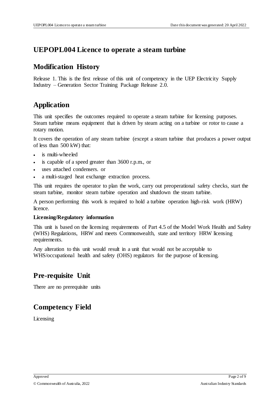#### **UEPOPL004 Licence to operate a steam turbine**

#### **Modification History**

Release 1. This is the first release of this unit of competency in the UEP Electricity Supply Industry – Generation Sector Training Package Release 2.0.

# **Application**

This unit specifies the outcomes required to operate a steam turbine for licensing purposes. Steam turbine means equipment that is driven by steam acting on a turbine or rotor to cause a rotary motion.

It covers the operation of any steam turbine (except a steam turbine that produces a power output of less than 500 kW) that:

- is multi-wheeled
- is capable of a speed greater than 3600 r.p.m., or
- uses attached condensers. or
- a multi-staged heat exchange extraction process.

This unit requires the operator to plan the work, carry out preoperational safety checks, start the steam turbine, monitor steam turbine operation and shutdown the steam turbine.

A person performing this work is required to hold a turbine operation high-risk work (HRW) licence.

#### **Licensing/Regulatory information**

This unit is based on the licensing requirements of Part 4.5 of the Model Work Health and Safety (WHS) Regulations, HRW and meets Commonwealth, state and territory HRW licensing requirements.

Any alteration to this unit would result in a unit that would not be acceptable to WHS/occupational health and safety (OHS) regulators for the purpose of licensing.

## **Pre-requisite Unit**

There are no prerequisite units

# **Competency Field**

Licensing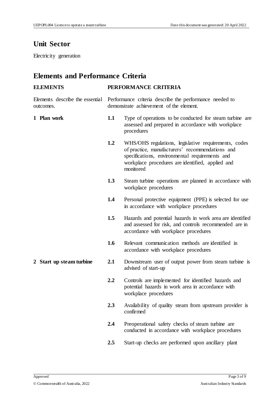# **Unit Sector**

Electricity generation

# **Elements and Performance Criteria**

| <b>ELEMENTS</b>                              | PERFORMANCE CRITERIA                                                                               |                                                                                                                                                                                                                            |
|----------------------------------------------|----------------------------------------------------------------------------------------------------|----------------------------------------------------------------------------------------------------------------------------------------------------------------------------------------------------------------------------|
| Elements describe the essential<br>outcomes. | Performance criteria describe the performance needed to<br>demonstrate achievement of the element. |                                                                                                                                                                                                                            |
| 1 Plan work                                  | 1.1                                                                                                | Type of operations to be conducted for steam turbine are<br>assessed and prepared in accordance with workplace<br>procedures                                                                                               |
|                                              | 1.2                                                                                                | WHS/OHS regulations, legislative requirements, codes<br>of practice, manufacturers' recommendations and<br>specifications, environmental requirements and<br>workplace procedures are identified, applied and<br>monitored |
|                                              | 1.3                                                                                                | Steam turbine operations are planned in accordance with<br>workplace procedures                                                                                                                                            |
|                                              | 1.4                                                                                                | Personal protective equipment (PPE) is selected for use<br>in accordance with workplace procedures                                                                                                                         |
|                                              | 1.5                                                                                                | Hazards and potential hazards in work area are identified<br>and assessed for risk, and controls recommended are in<br>accordance with workplace procedures                                                                |
|                                              | 1.6                                                                                                | Relevant communication methods are identified in<br>accordance with workplace procedures                                                                                                                                   |
| 2 Start up steam turbine                     | 2.1                                                                                                | Downstream user of output power from steam turbine is<br>advised of start-up                                                                                                                                               |
|                                              | 2.2                                                                                                | Controls are implemented for identified hazards and<br>potential hazards in work area in accordance with<br>workplace procedures                                                                                           |
|                                              | 2.3                                                                                                | Availability of quality steam from upstream provider is<br>confirmed                                                                                                                                                       |
|                                              | 2.4                                                                                                | Preoperational safety checks of steam turbine are<br>conducted in accordance with workplace procedures                                                                                                                     |
|                                              | 2.5                                                                                                | Start-up checks are performed upon ancillary plant                                                                                                                                                                         |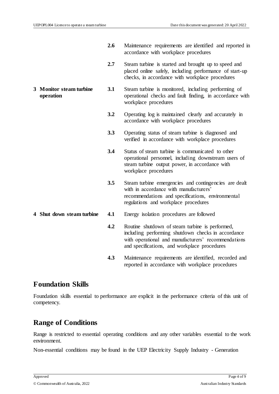**operation**

- **2.6** Maintenance requirements are identified and reported in accordance with workplace procedures
- **2.7** Steam turbine is started and brought up to speed and placed online safely, including performance of start-up checks, in accordance with workplace procedures
- **3 Monitor steam turbine 3.1** Steam turbine is monitored, including performing of operational checks and fault finding, in accordance with workplace procedures
	- **3.2** Operating log is maintained clearly and accurately in accordance with workplace procedures
	- **3.3** Operating status of steam turbine is diagnosed and verified in accordance with workplace procedures
	- **3.4** Status of steam turbine is communicated to other operational personnel, including downstream users of steam turbine output power, in accordance with workplace procedures
	- **3.5** Steam turbine emergencies and contingencies are dealt with in accordance with manufacturers' recommendations and specifications, environmental regulations and workplace procedures
- 
- **4 Shut down steam turbine 4.1** Energy isolation procedures are followed
	- **4.2** Routine shutdown of steam turbine is performed, including performing shutdown checks in accordance with operational and manufacturers' recommendations and specifications, and workplace procedures
	- **4.3** Maintenance requirements are identified, recorded and reported in accordance with workplace procedures

#### **Foundation Skills**

Foundation skills essential to performance are explicit in the performance criteria of this unit of competency.

## **Range of Conditions**

Range is restricted to essential operating conditions and any other variables essential to the work environment.

Non-essential conditions may be found in the UEP Electricity Supply Industry - Generation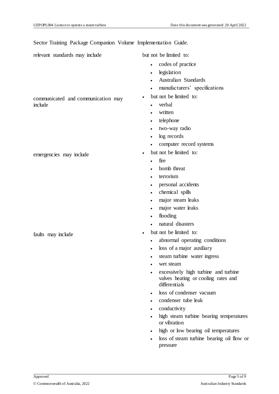Sector Training Package Companion Volume Implementation Guide.

relevant standards may include but not be limited to:

communicated and communication may

emergencies may include <br>
• but not be limited to:

include

- codes of practice
- legislation
- Australian Standards
- manufacturers' specifications
- but not be limited to:
	- verbal
	- written
	- telephone
	- two-way radio
	- log records
	- computer record systems
- - $\cdot$  fire
	- bomb threat
	- terrorism
	- personal accidents
	- chemical spills
	- major steam leaks
	- major water leaks
	- flooding
	- natural disasters
- faults may include  $\bullet$  but not be limited to:
	- abnormal operating conditions
	- loss of a major auxiliary
	- steam turbine water ingress
	- wet steam
	- excessively high turbine and turbine valves heating or cooling rates and differentials
	- loss of condenser vacuum
	- condenser tube leak
	- conductivity
	- high steam turbine bearing temperatures or vibration
	- high or low bearing oil temperatures
	- loss of steam turbine bearing oil flow or pressure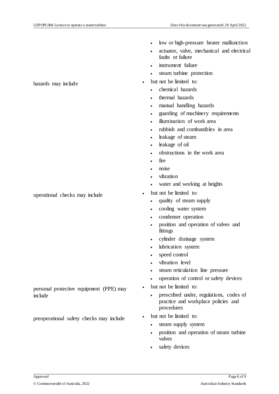operational checks may include  $\bullet$  but not be limited to:

personal protective equipment (PPE) may include

preoperational safety checks may include  $\cdot$  but not be limited to:

- low or high-pressure heater malfunction
- actuator, valve, mechanical and electrical faults or failure
- instrument failure
- steam turbine protection
- hazards may include  $\bullet$  but not be limited to:
	- chemical hazards
	- thermal hazards
	- manual handling hazards
	- guarding of machinery requirements
	- illumination of work area
	- rubbish and combustibles in area
	- leakage of steam
	- leakage of oil
	- obstructions in the work area
	- fire
	- noise
	- vibration
	- water and working at heights
	- - quality of steam supply
		- cooling water system
		- condenser operation
		- position and operation of valves and fittings
		- cylinder drainage system
		- lubrication system
		- speed control
		- vibration level
		- steam reticulation line pressure
		- operation of control or safety devices
	- but not be limited to:
		- prescribed under, regulations, codes of practice and workplace policies and procedures
	- - steam supply system
		- position and operation of steam turbine valves
		- safety devices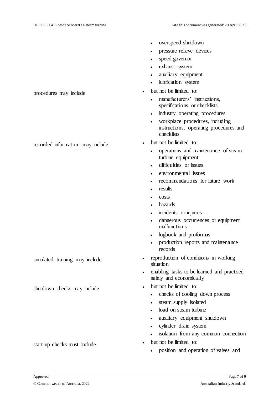- overspeed shutdown
- pressure relieve devices
- speed governor
- exhaust system
- auxiliary equipment
- lubrication system
- procedures may include  $\bullet$  but not be limited to:
	- manufacturers' instructions, specifications or checklists
	- industry operating procedures
	- workplace procedures, including instructions, operating procedures and checklists
- recorded information may include  $\bullet$  but not be limited to:
	- operations and maintenance of steam turbine equipment
	- difficulties or issues
	- environmental issues
	- recommendations for future work
	- results
	- costs
	- hazards
	- incidents or injuries
	- dangerous occurrences or equipment malfunctions
	- logbook and proformas
	- production reports and maintenance records
- simulated training may include  $\bullet$  reproduction of conditions in working situation
	- enabling tasks to be learned and practised safely and economically
- shutdown checks may include  $\bullet$  but not be limited to:
	- checks of cooling down process
	- steam supply isolated
	- load on steam turbine
	- auxiliary equipment shutdown
	- cylinder drain system
	- isolation from any common connection
	- - position and operation of valves and

start-up checks must include  $\bullet$  but not be limited to: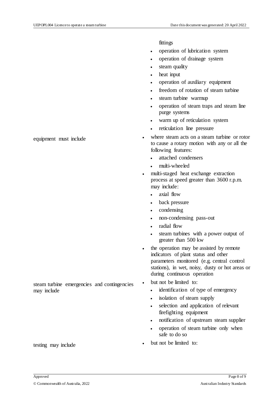fittings

- operation of lubrication system
- operation of drainage system
- steam quality
- heat input
- operation of auxiliary equipment
- freedom of rotation of steam turbine
- steam turbine warmup
- operation of steam traps and steam line purge systems
- warm up of reticulation system
- reticulation line pressure
- equipment must include  $\bullet$  where steam acts on a steam turbine or rotor to cause a rotary motion with any or all the following features:
	- attached condensers
	- multi-wheeled
	- multi-staged heat exchange extraction process at speed greater than 3600 r.p.m. may include:
		- axial flow
		- back pressure
		- condensing
		- non-condensing pass-out
		- radial flow
		- steam turbines with a power output of greater than 500 kw
	- the operation may be assisted by remote indicators of plant status and other parameters monitored (e.g. central control stations), in wet, noisy, dusty or hot areas or during continuous operation
	- but not be limited to:
		- identification of type of emergency
		- isolation of steam supply
		- selection and application of relevant firefighting equipment
		- notification of upstream steam supplier
		- operation of steam turbine only when safe to do so
- testing may include <br>
 but not be limited to:

steam turbine emergencies and contingencies may include